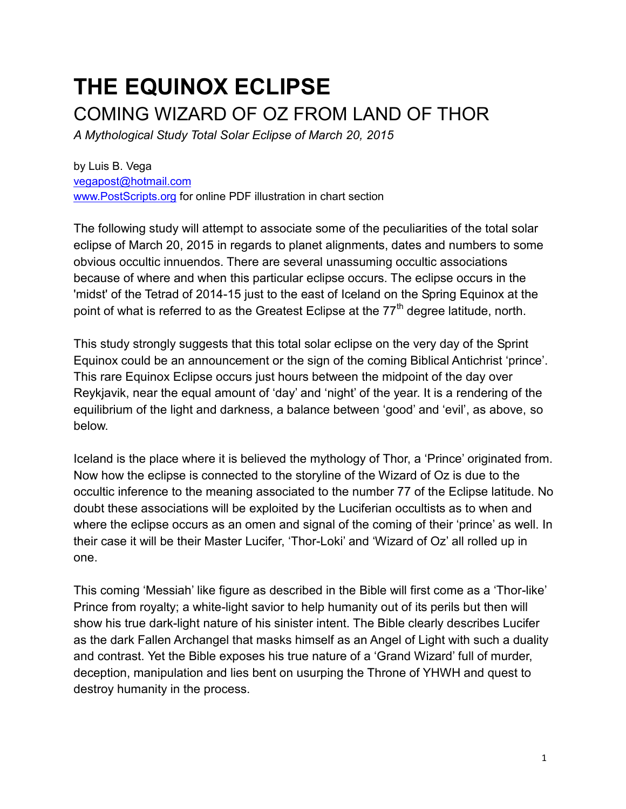# **THE EQUINOX ECLIPSE** COMING WIZARD OF OZ FROM LAND OF THOR

*A Mythological Study Total Solar Eclipse of March 20, 2015* 

by Luis B. Vega [vegapost@hotmail.com](mailto:vegapost@hotmail.com) [www.PostScripts.org](http://www.postscripts.orgfor/) for online PDF illustration in chart section

The following study will attempt to associate some of the peculiarities of the total solar eclipse of March 20, 2015 in regards to planet alignments, dates and numbers to some obvious occultic innuendos. There are several unassuming occultic associations because of where and when this particular eclipse occurs. The eclipse occurs in the 'midst' of the Tetrad of 2014-15 just to the east of Iceland on the Spring Equinox at the point of what is referred to as the Greatest Eclipse at the 77<sup>th</sup> degree latitude, north.

This study strongly suggests that this total solar eclipse on the very day of the Sprint Equinox could be an announcement or the sign of the coming Biblical Antichrist 'prince'. This rare Equinox Eclipse occurs just hours between the midpoint of the day over Reykjavik, near the equal amount of 'day' and 'night' of the year. It is a rendering of the equilibrium of the light and darkness, a balance between 'good' and 'evil', as above, so below.

Iceland is the place where it is believed the mythology of Thor, a 'Prince' originated from. Now how the eclipse is connected to the storyline of the Wizard of Oz is due to the occultic inference to the meaning associated to the number 77 of the Eclipse latitude. No doubt these associations will be exploited by the Luciferian occultists as to when and where the eclipse occurs as an omen and signal of the coming of their 'prince' as well. In their case it will be their Master Lucifer, 'Thor-Loki' and 'Wizard of Oz' all rolled up in one.

This coming 'Messiah' like figure as described in the Bible will first come as a 'Thor-like' Prince from royalty; a white-light savior to help humanity out of its perils but then will show his true dark-light nature of his sinister intent. The Bible clearly describes Lucifer as the dark Fallen Archangel that masks himself as an Angel of Light with such a duality and contrast. Yet the Bible exposes his true nature of a 'Grand Wizard' full of murder, deception, manipulation and lies bent on usurping the Throne of YHWH and quest to destroy humanity in the process.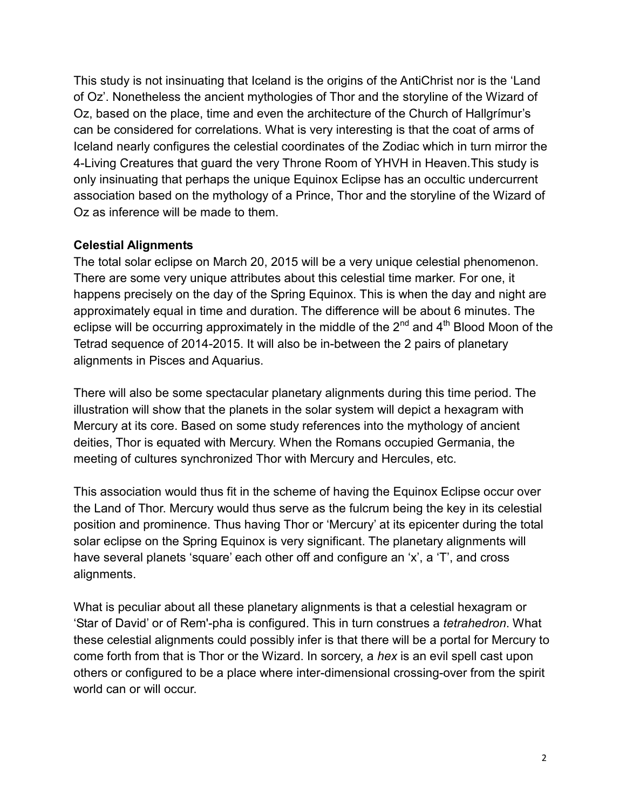This study is not insinuating that Iceland is the origins of the AntiChrist nor is the 'Land of Oz'. Nonetheless the ancient mythologies of Thor and the storyline of the Wizard of Oz, based on the place, time and even the architecture of the Church of Hallgrímur's can be considered for correlations. What is very interesting is that the coat of arms of Iceland nearly configures the celestial coordinates of the Zodiac which in turn mirror the 4-Living Creatures that guard the very Throne Room of YHVH in Heaven.This study is only insinuating that perhaps the unique Equinox Eclipse has an occultic undercurrent association based on the mythology of a Prince, Thor and the storyline of the Wizard of Oz as inference will be made to them.

### **Celestial Alignments**

The total solar eclipse on March 20, 2015 will be a very unique celestial phenomenon. There are some very unique attributes about this celestial time marker. For one, it happens precisely on the day of the Spring Equinox. This is when the day and night are approximately equal in time and duration. The difference will be about 6 minutes. The eclipse will be occurring approximately in the middle of the  $2<sup>nd</sup>$  and  $4<sup>th</sup>$  Blood Moon of the Tetrad sequence of 2014-2015. It will also be in-between the 2 pairs of planetary alignments in Pisces and Aquarius.

There will also be some spectacular planetary alignments during this time period. The illustration will show that the planets in the solar system will depict a hexagram with Mercury at its core. Based on some study references into the mythology of ancient deities, Thor is equated with Mercury. When the Romans occupied Germania, the meeting of cultures synchronized Thor with Mercury and Hercules, etc.

This association would thus fit in the scheme of having the Equinox Eclipse occur over the Land of Thor. Mercury would thus serve as the fulcrum being the key in its celestial position and prominence. Thus having Thor or 'Mercury' at its epicenter during the total solar eclipse on the Spring Equinox is very significant. The planetary alignments will have several planets 'square' each other off and configure an 'x', a 'T', and cross alignments.

What is peculiar about all these planetary alignments is that a celestial hexagram or 'Star of David' or of Rem'-pha is configured. This in turn construes a *tetrahedron*. What these celestial alignments could possibly infer is that there will be a portal for Mercury to come forth from that is Thor or the Wizard. In sorcery, a *hex* is an evil spell cast upon others or configured to be a place where inter-dimensional crossing-over from the spirit world can or will occur.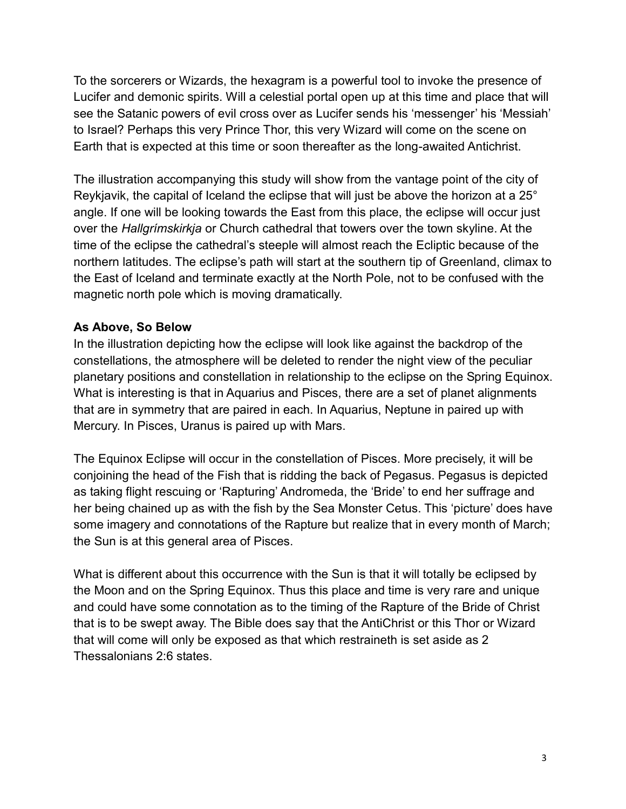To the sorcerers or Wizards, the hexagram is a powerful tool to invoke the presence of Lucifer and demonic spirits. Will a celestial portal open up at this time and place that will see the Satanic powers of evil cross over as Lucifer sends his 'messenger' his 'Messiah' to Israel? Perhaps this very Prince Thor, this very Wizard will come on the scene on Earth that is expected at this time or soon thereafter as the long-awaited Antichrist.

The illustration accompanying this study will show from the vantage point of the city of Reykjavik, the capital of Iceland the eclipse that will just be above the horizon at a 25° angle. If one will be looking towards the East from this place, the eclipse will occur just over the *Hallgrímskirkja* or Church cathedral that towers over the town skyline. At the time of the eclipse the cathedral's steeple will almost reach the Ecliptic because of the northern latitudes. The eclipse's path will start at the southern tip of Greenland, climax to the East of Iceland and terminate exactly at the North Pole, not to be confused with the magnetic north pole which is moving dramatically.

## **As Above, So Below**

In the illustration depicting how the eclipse will look like against the backdrop of the constellations, the atmosphere will be deleted to render the night view of the peculiar planetary positions and constellation in relationship to the eclipse on the Spring Equinox. What is interesting is that in Aquarius and Pisces, there are a set of planet alignments that are in symmetry that are paired in each. In Aquarius, Neptune in paired up with Mercury. In Pisces, Uranus is paired up with Mars.

The Equinox Eclipse will occur in the constellation of Pisces. More precisely, it will be conjoining the head of the Fish that is ridding the back of Pegasus. Pegasus is depicted as taking flight rescuing or 'Rapturing' Andromeda, the 'Bride' to end her suffrage and her being chained up as with the fish by the Sea Monster Cetus. This 'picture' does have some imagery and connotations of the Rapture but realize that in every month of March; the Sun is at this general area of Pisces.

What is different about this occurrence with the Sun is that it will totally be eclipsed by the Moon and on the Spring Equinox. Thus this place and time is very rare and unique and could have some connotation as to the timing of the Rapture of the Bride of Christ that is to be swept away. The Bible does say that the AntiChrist or this Thor or Wizard that will come will only be exposed as that which restraineth is set aside as 2 Thessalonians 2:6 states.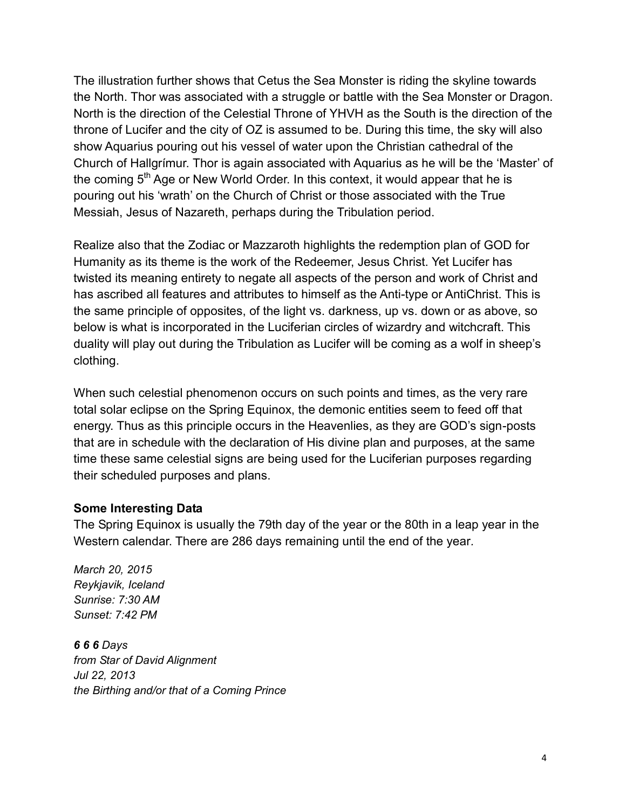The illustration further shows that Cetus the Sea Monster is riding the skyline towards the North. Thor was associated with a struggle or battle with the Sea Monster or Dragon. North is the direction of the Celestial Throne of YHVH as the South is the direction of the throne of Lucifer and the city of OZ is assumed to be. During this time, the sky will also show Aquarius pouring out his vessel of water upon the Christian cathedral of the Church of Hallgrímur. Thor is again associated with Aquarius as he will be the 'Master' of the coming  $5<sup>th</sup>$  Age or New World Order. In this context, it would appear that he is pouring out his 'wrath' on the Church of Christ or those associated with the True Messiah, Jesus of Nazareth, perhaps during the Tribulation period.

Realize also that the Zodiac or Mazzaroth highlights the redemption plan of GOD for Humanity as its theme is the work of the Redeemer, Jesus Christ. Yet Lucifer has twisted its meaning entirety to negate all aspects of the person and work of Christ and has ascribed all features and attributes to himself as the Anti-type or AntiChrist. This is the same principle of opposites, of the light vs. darkness, up vs. down or as above, so below is what is incorporated in the Luciferian circles of wizardry and witchcraft. This duality will play out during the Tribulation as Lucifer will be coming as a wolf in sheep's clothing.

When such celestial phenomenon occurs on such points and times, as the very rare total solar eclipse on the Spring Equinox, the demonic entities seem to feed off that energy. Thus as this principle occurs in the Heavenlies, as they are GOD's sign-posts that are in schedule with the declaration of His divine plan and purposes, at the same time these same celestial signs are being used for the Luciferian purposes regarding their scheduled purposes and plans.

#### **Some Interesting Data**

The Spring Equinox is usually the 79th day of the year or the 80th in a leap year in the Western calendar. There are 286 days remaining until the end of the year*.*

*March 20, 2015 Reykjavik, Iceland Sunrise: 7:30 AM Sunset: 7:42 PM*

*6 6 6 Days from Star of David Alignment Jul 22, 2013 the Birthing and/or that of a Coming Prince*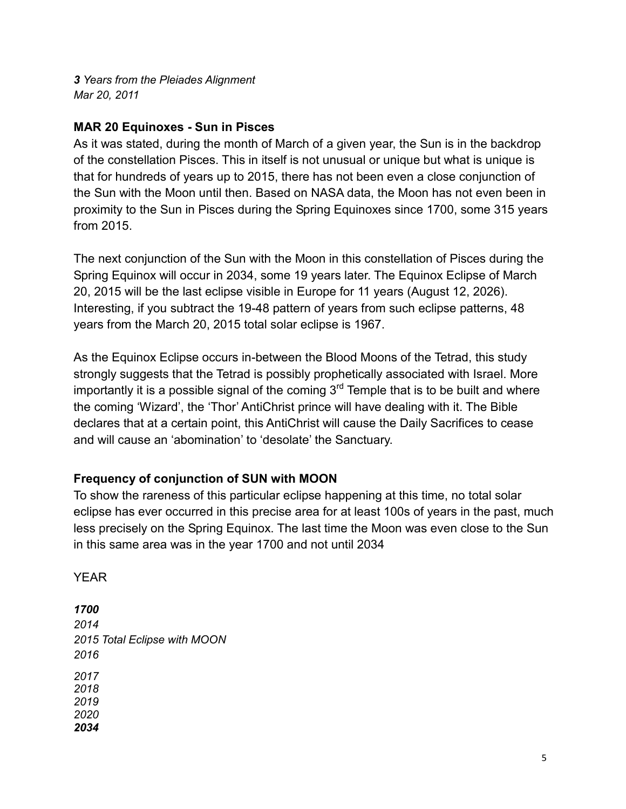*3 Years from the Pleiades Alignment Mar 20, 2011*

## **MAR 20 Equinoxes - Sun in Pisces**

As it was stated, during the month of March of a given year, the Sun is in the backdrop of the constellation Pisces. This in itself is not unusual or unique but what is unique is that for hundreds of years up to 2015, there has not been even a close conjunction of the Sun with the Moon until then. Based on NASA data, the Moon has not even been in proximity to the Sun in Pisces during the Spring Equinoxes since 1700, some 315 years from 2015.

The next conjunction of the Sun with the Moon in this constellation of Pisces during the Spring Equinox will occur in 2034, some 19 years later. The Equinox Eclipse of March 20, 2015 will be the last eclipse visible in Europe for 11 years (August 12, 2026). Interesting, if you subtract the 19-48 pattern of years from such eclipse patterns, 48 years from the March 20, 2015 total solar eclipse is 1967.

As the Equinox Eclipse occurs in-between the Blood Moons of the Tetrad, this study strongly suggests that the Tetrad is possibly prophetically associated with Israel. More importantly it is a possible signal of the coming  $3<sup>rd</sup>$  Temple that is to be built and where the coming 'Wizard', the 'Thor' AntiChrist prince will have dealing with it. The Bible declares that at a certain point, this AntiChrist will cause the Daily Sacrifices to cease and will cause an 'abomination' to 'desolate' the Sanctuary.

# **Frequency of conjunction of SUN with MOON**

To show the rareness of this particular eclipse happening at this time, no total solar eclipse has ever occurred in this precise area for at least 100s of years in the past, much less precisely on the Spring Equinox. The last time the Moon was even close to the Sun in this same area was in the year 1700 and not until 2034

YEAR

*1700 2014 2015 Total Eclipse with MOON 2016 2017 2018 2019 2020 2034*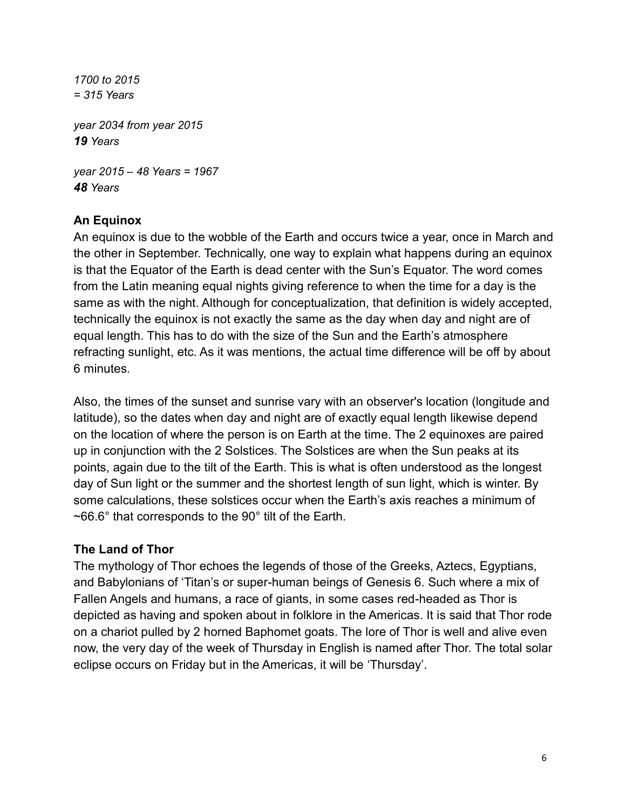*1700 to 2015 = 315 Years year 2034 from year 2015 19 Years year 2015 – 48 Years = 1967*

*48 Years*

# **An Equinox**

An equinox is due to the wobble of the Earth and occurs twice a year, once in March and the other in September. Technically, one way to explain what happens during an equinox is that the Equator of the Earth is dead center with the Sun's Equator. The word comes from the Latin meaning equal nights giving reference to when the time for a day is the same as with the night. Although for conceptualization, that definition is widely accepted, technically the equinox is not exactly the same as the day when day and night are of equal length. This has to do with the size of the Sun and the Earth's atmosphere refracting sunlight, etc. As it was mentions, the actual time difference will be off by about 6 minutes.

Also, the times of the sunset and sunrise vary with an observer's location (longitude and latitude), so the dates when day and night are of exactly equal length likewise depend on the location of where the person is on Earth at the time. The 2 equinoxes are paired up in conjunction with the 2 Solstices. The Solstices are when the Sun peaks at its points, again due to the tilt of the Earth. This is what is often understood as the longest day of Sun light or the summer and the shortest length of sun light, which is winter. By some calculations, these solstices occur when the Earth's axis reaches a minimum of ~66.6° that corresponds to the 90° tilt of the Earth.

### **The Land of Thor**

The mythology of Thor echoes the legends of those of the Greeks, Aztecs, Egyptians, and Babylonians of 'Titan's or super-human beings of Genesis 6. Such where a mix of Fallen Angels and humans, a race of giants, in some cases red-headed as Thor is depicted as having and spoken about in folklore in the Americas. It is said that Thor rode on a chariot pulled by 2 horned Baphomet goats. The lore of Thor is well and alive even now, the very day of the week of Thursday in English is named after Thor. The total solar eclipse occurs on Friday but in the Americas, it will be 'Thursday'.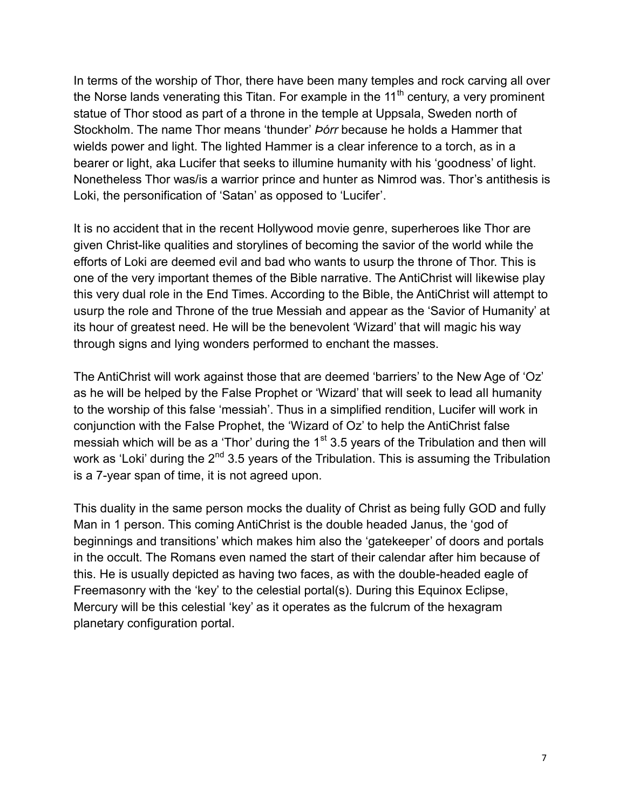In terms of the worship of Thor, there have been many temples and rock carving all over the Norse lands venerating this Titan. For example in the  $11<sup>th</sup>$  century, a very prominent statue of Thor stood as part of a throne in the temple at Uppsala, Sweden north of Stockholm. The name Thor means 'thunder' *Þórr* because he holds a Hammer that wields power and light. The lighted Hammer is a clear inference to a torch, as in a bearer or light, aka Lucifer that seeks to illumine humanity with his 'goodness' of light. Nonetheless Thor was/is a warrior prince and hunter as Nimrod was. Thor's antithesis is Loki, the personification of 'Satan' as opposed to 'Lucifer'.

It is no accident that in the recent Hollywood movie genre, superheroes like Thor are given Christ-like qualities and storylines of becoming the savior of the world while the efforts of Loki are deemed evil and bad who wants to usurp the throne of Thor. This is one of the very important themes of the Bible narrative. The AntiChrist will likewise play this very dual role in the End Times. According to the Bible, the AntiChrist will attempt to usurp the role and Throne of the true Messiah and appear as the 'Savior of Humanity' at its hour of greatest need. He will be the benevolent 'Wizard' that will magic his way through signs and lying wonders performed to enchant the masses.

The AntiChrist will work against those that are deemed 'barriers' to the New Age of 'Oz' as he will be helped by the False Prophet or 'Wizard' that will seek to lead all humanity to the worship of this false 'messiah'. Thus in a simplified rendition, Lucifer will work in conjunction with the False Prophet, the 'Wizard of Oz' to help the AntiChrist false messiah which will be as a 'Thor' during the  $1<sup>st</sup>$  3.5 years of the Tribulation and then will work as 'Loki' during the 2<sup>nd</sup> 3.5 years of the Tribulation. This is assuming the Tribulation is a 7-year span of time, it is not agreed upon.

This duality in the same person mocks the duality of Christ as being fully GOD and fully Man in 1 person. This coming AntiChrist is the double headed Janus, the 'god of beginnings and transitions' which makes him also the 'gatekeeper' of doors and portals in the occult. The Romans even named the start of their calendar after him because of this. He is usually depicted as having two faces, as with the double-headed eagle of Freemasonry with the 'key' to the celestial portal(s). During this Equinox Eclipse, Mercury will be this celestial 'key' as it operates as the fulcrum of the hexagram planetary configuration portal.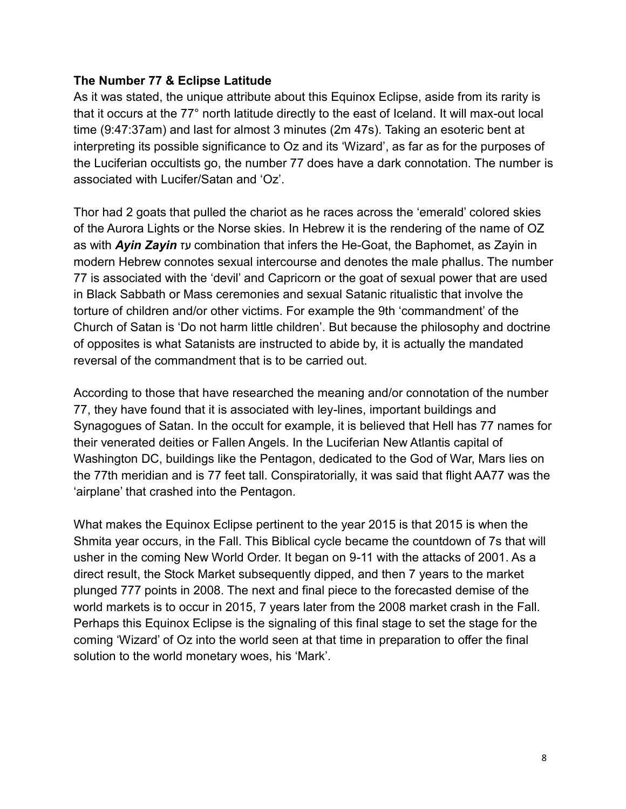#### **The Number 77 & Eclipse Latitude**

As it was stated, the unique attribute about this Equinox Eclipse, aside from its rarity is that it occurs at the 77° north latitude directly to the east of Iceland. It will max-out local time (9:47:37am) and last for almost 3 minutes (2m 47s). Taking an esoteric bent at interpreting its possible significance to Oz and its 'Wizard', as far as for the purposes of the Luciferian occultists go, the number 77 does have a dark connotation. The number is associated with Lucifer/Satan and 'Oz'.

Thor had 2 goats that pulled the chariot as he races across the 'emerald' colored skies of the Aurora Lights or the Norse skies. In Hebrew it is the rendering of the name of OZ as with *Ayin Zayin* עז combination that infers the He-Goat, the Baphomet, as Zayin in modern Hebrew connotes sexual intercourse and denotes the male phallus. The number 77 is associated with the 'devil' and Capricorn or the goat of sexual power that are used in Black Sabbath or Mass ceremonies and sexual Satanic ritualistic that involve the torture of children and/or other victims. For example the 9th 'commandment' of the Church of Satan is 'Do not harm little children'. But because the philosophy and doctrine of opposites is what Satanists are instructed to abide by, it is actually the mandated reversal of the commandment that is to be carried out.

According to those that have researched the meaning and/or connotation of the number 77, they have found that it is associated with ley-lines, important buildings and Synagogues of Satan. In the occult for example, it is believed that Hell has 77 names for their venerated deities or Fallen Angels. In the Luciferian New Atlantis capital of Washington DC, buildings like the Pentagon, dedicated to the God of War, Mars lies on the 77th meridian and is 77 feet tall. Conspiratorially, it was said that flight AA77 was the 'airplane' that crashed into the Pentagon.

What makes the Equinox Eclipse pertinent to the year 2015 is that 2015 is when the Shmita year occurs, in the Fall. This Biblical cycle became the countdown of 7s that will usher in the coming New World Order. It began on 9-11 with the attacks of 2001. As a direct result, the Stock Market subsequently dipped, and then 7 years to the market plunged 777 points in 2008. The next and final piece to the forecasted demise of the world markets is to occur in 2015, 7 years later from the 2008 market crash in the Fall. Perhaps this Equinox Eclipse is the signaling of this final stage to set the stage for the coming 'Wizard' of Oz into the world seen at that time in preparation to offer the final solution to the world monetary woes, his 'Mark'.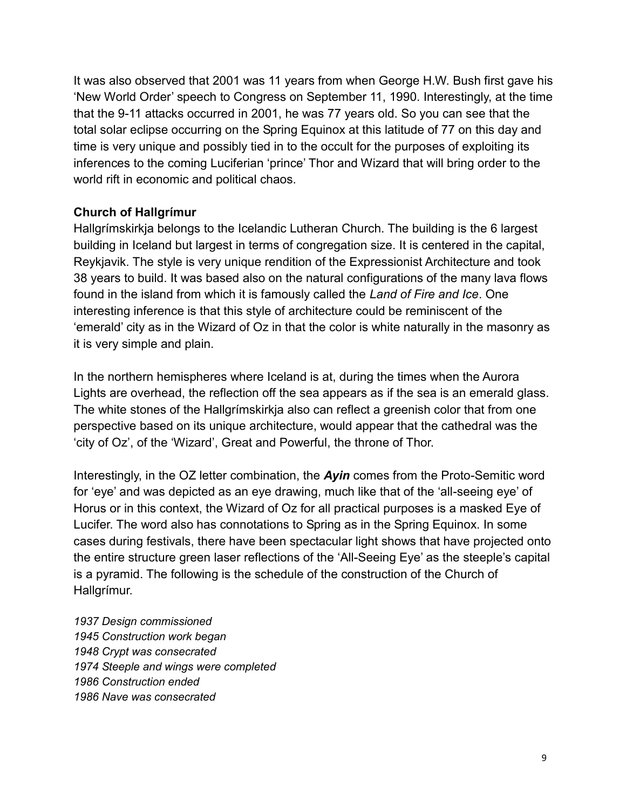It was also observed that 2001 was 11 years from when George H.W. Bush first gave his 'New World Order' speech to Congress on September 11, 1990. Interestingly, at the time that the 9-11 attacks occurred in 2001, he was 77 years old. So you can see that the total solar eclipse occurring on the Spring Equinox at this latitude of 77 on this day and time is very unique and possibly tied in to the occult for the purposes of exploiting its inferences to the coming Luciferian 'prince' Thor and Wizard that will bring order to the world rift in economic and political chaos.

### **Church of Hallgrímur**

Hallgrímskirkja belongs to the Icelandic Lutheran Church. The building is the 6 largest building in Iceland but largest in terms of congregation size. It is centered in the capital, Reykjavik. The style is very unique rendition of the Expressionist Architecture and took 38 years to build. It was based also on the natural configurations of the many lava flows found in the island from which it is famously called the *Land of Fire and Ice*. One interesting inference is that this style of architecture could be reminiscent of the 'emerald' city as in the Wizard of Oz in that the color is white naturally in the masonry as it is very simple and plain.

In the northern hemispheres where Iceland is at, during the times when the Aurora Lights are overhead, the reflection off the sea appears as if the sea is an emerald glass. The white stones of the Hallgrímskirkja also can reflect a greenish color that from one perspective based on its unique architecture, would appear that the cathedral was the 'city of Oz', of the 'Wizard', Great and Powerful, the throne of Thor.

Interestingly, in the OZ letter combination, the *Ayin* comes from the Proto-Semitic word for 'eye' and was depicted as an eye drawing, much like that of the 'all-seeing eye' of Horus or in this context, the Wizard of Oz for all practical purposes is a masked Eye of Lucifer. The word also has connotations to Spring as in the Spring Equinox. In some cases during festivals, there have been spectacular light shows that have projected onto the entire structure green laser reflections of the 'All-Seeing Eye' as the steeple's capital is a pyramid. The following is the schedule of the construction of the Church of Hallgrímur.

*1937 Design commissioned 1945 Construction work began 1948 Crypt was consecrated 1974 Steeple and wings were completed 1986 Construction ended 1986 Nave was consecrated*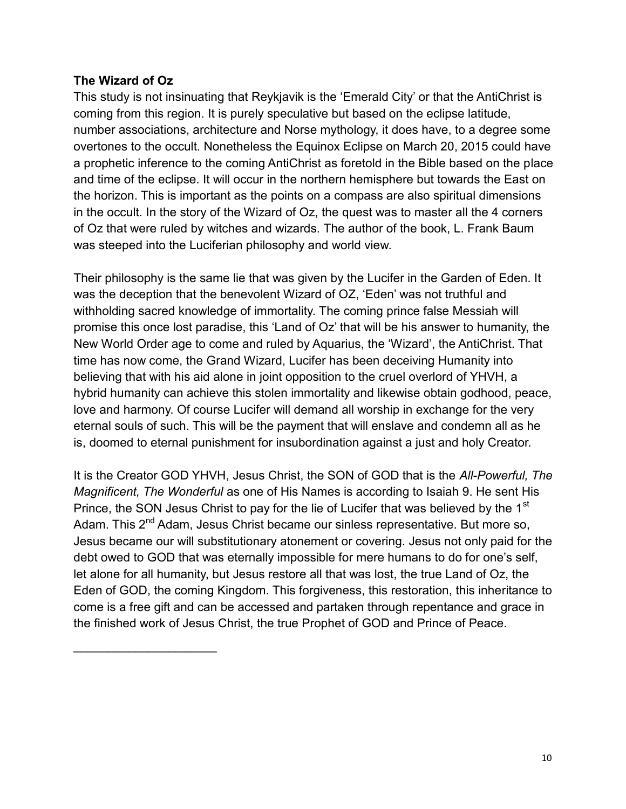### **The Wizard of Oz**

 $\mathcal{L}_\text{max}$  , we have the set of the set of the set of the set of the set of the set of the set of the set of the set of the set of the set of the set of the set of the set of the set of the set of the set of the set of

This study is not insinuating that Reykjavik is the 'Emerald City' or that the AntiChrist is coming from this region. It is purely speculative but based on the eclipse latitude, number associations, architecture and Norse mythology, it does have, to a degree some overtones to the occult. Nonetheless the Equinox Eclipse on March 20, 2015 could have a prophetic inference to the coming AntiChrist as foretold in the Bible based on the place and time of the eclipse. It will occur in the northern hemisphere but towards the East on the horizon. This is important as the points on a compass are also spiritual dimensions in the occult. In the story of the Wizard of Oz, the quest was to master all the 4 corners of Oz that were ruled by witches and wizards. The author of the book, L. Frank Baum was steeped into the Luciferian philosophy and world view.

Their philosophy is the same lie that was given by the Lucifer in the Garden of Eden. It was the deception that the benevolent Wizard of OZ, 'Eden' was not truthful and withholding sacred knowledge of immortality. The coming prince false Messiah will promise this once lost paradise, this 'Land of Oz' that will be his answer to humanity, the New World Order age to come and ruled by Aquarius, the 'Wizard', the AntiChrist. That time has now come, the Grand Wizard, Lucifer has been deceiving Humanity into believing that with his aid alone in joint opposition to the cruel overlord of YHVH, a hybrid humanity can achieve this stolen immortality and likewise obtain godhood, peace, love and harmony. Of course Lucifer will demand all worship in exchange for the very eternal souls of such. This will be the payment that will enslave and condemn all as he is, doomed to eternal punishment for insubordination against a just and holy Creator.

It is the Creator GOD YHVH, Jesus Christ, the SON of GOD that is the *All-Powerful, The Magnificent, The Wonderful* as one of His Names is according to Isaiah 9. He sent His Prince, the SON Jesus Christ to pay for the lie of Lucifer that was believed by the 1<sup>st</sup> Adam. This 2<sup>nd</sup> Adam, Jesus Christ became our sinless representative. But more so, Jesus became our will substitutionary atonement or covering. Jesus not only paid for the debt owed to GOD that was eternally impossible for mere humans to do for one's self, let alone for all humanity, but Jesus restore all that was lost, the true Land of Oz, the Eden of GOD, the coming Kingdom. This forgiveness, this restoration, this inheritance to come is a free gift and can be accessed and partaken through repentance and grace in the finished work of Jesus Christ, the true Prophet of GOD and Prince of Peace.